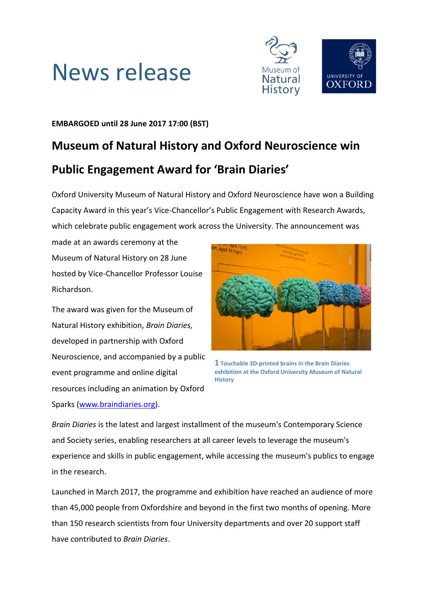



## **EMBARGOED until 28 June 2017 17:00 (BST)**

# **Museum of Natural History and Oxford Neuroscience win Public Engagement Award for 'Brain Diaries'**

Oxford University Museum of Natural History and Oxford Neuroscience have won a Building Capacity Award in this year's Vice-Chancellor's Public Engagement with Research Awards, which celebrate public engagement work across the University. The announcement was

made at an awards ceremony at the Museum of Natural History on 28 June hosted by Vice-Chancellor Professor Louise Richardson.

The award was given for the Museum of Natural History exhibition, *Brain Diaries,*  developed in partnership with Oxford Neuroscience, and accompanied by a public event programme and online digital resources including an animation by Oxford Sparks [\(www.braindiaries.org\)](http://www.braindiaries.org/).



**1 Touchable 3D-printed brains in the Brain Diaries exhibition at the Oxford University Museum of Natural History**

*Brain Diaries* is the latest and largest installment of the museum's Contemporary Science and Society series, enabling researchers at all career levels to leverage the museum's experience and skills in public engagement, while accessing the museum's publics to engage in the research.

Launched in March 2017, the programme and exhibition have reached an audience of more than 45,000 people from Oxfordshire and beyond in the first two months of opening. More than 150 research scientists from four University departments and over 20 support staff have contributed to *Brain Diaries*.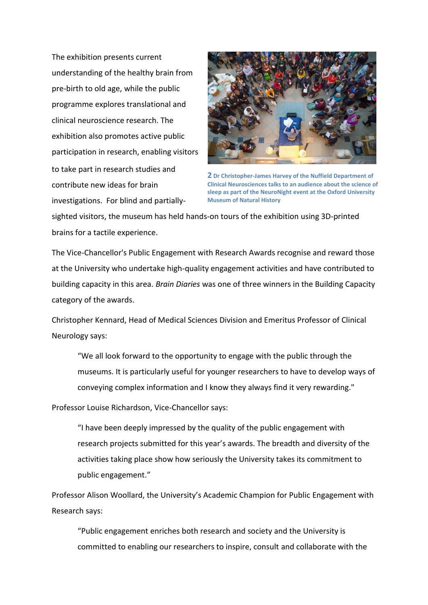The exhibition presents current understanding of the healthy brain from pre-birth to old age, while the public programme explores translational and clinical neuroscience research. The exhibition also promotes active public participation in research, enabling visitors to take part in research studies and contribute new ideas for brain investigations. For blind and partially-



**2 Dr Christopher-James Harvey of the Nuffield Department of Clinical Neurosciences talks to an audience about the science of sleep as part of the NeuroNight event at the Oxford University Museum of Natural History**

sighted visitors, the museum has held hands-on tours of the exhibition using 3D-printed brains for a tactile experience.

The Vice-Chancellor's Public Engagement with Research Awards recognise and reward those at the University who undertake high-quality engagement activities and have contributed to building capacity in this area. *Brain Diaries* was one of three winners in the Building Capacity category of the awards.

Christopher Kennard, Head of Medical Sciences Division and Emeritus Professor of Clinical Neurology says:

"We all look forward to the opportunity to engage with the public through the museums. It is particularly useful for younger researchers to have to develop ways of conveying complex information and I know they always find it very rewarding."

Professor Louise Richardson, Vice-Chancellor says:

"I have been deeply impressed by the quality of the public engagement with research projects submitted for this year's awards. The breadth and diversity of the activities taking place show how seriously the University takes its commitment to public engagement."

Professor Alison Woollard, the University's Academic Champion for Public Engagement with Research says:

"Public engagement enriches both research and society and the University is committed to enabling our researchers to inspire, consult and collaborate with the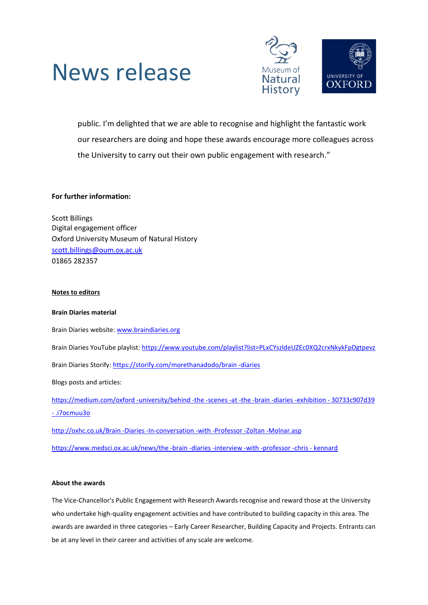



public. I'm delighted that we are able to recognise and highlight the fantastic work our researchers are doing and hope these awards encourage more colleagues across the University to carry out their own public engagement with research."

### **For further information:**

Scott Billings Digital engagement officer Oxford University Museum of Natural History [scott.billings@oum.ox.ac.uk](mailto:scott.billings@oum.ox.ac.uk) 01865 282357

#### **Notes to editors**

#### **Brain Diaries material**

Brain Diaries website[: www.braindiaries.org](http://www.braindiaries.org/) Brain Diaries YouTube playlist[: https://www.youtube.com/playlist?list=PLxCYszldeUZEc0XQ2crxNkykFpDgtpevz](https://www.youtube.com/playlist?list=PLxCYszldeUZEc0XQ2crxNkykFpDgtpevz) Brain Diaries Storify: [https://storify.com/morethanadodo/brain -diaries](https://storify.com/morethanadodo/brain%20-diaries) Blogs posts and articles: [https://medium.com/oxford -university/behind -the -scenes -at -the -brain -diaries -exhibition -](https://medium.com/oxford%20-university/behind%20-the%20-scenes%20-at%20-the%20-brain%20-diaries%20-exhibition%20-%2030733c907d39#.i7ocmuu3o) 30733c907d39 - [.i7ocmuu3o](https://medium.com/oxford%20-university/behind%20-the%20-scenes%20-at%20-the%20-brain%20-diaries%20-exhibition%20-%2030733c907d39#.i7ocmuu3o) [http://oxhc.co.uk/Brain -Diaries -In-conversation -with -Professor -Zoltan -Molnar.asp](http://oxhc.co.uk/Brain%20-Diaries%20-In-conversation%20-with%20-Professor%20-Zoltan%20-Molnar.asp)

[https://www.medsci.ox.ac.uk/news/the -brain -diaries -interview -with -professor -chris -](https://www.medsci.ox.ac.uk/news/the%20-brain%20-diaries%20-interview%20-with%20-professor%20-chris%20-%20kennard) kennard

#### **About the awards**

The Vice-Chancellor's Public Engagement with Research Awards recognise and reward those at the University who undertake high-quality engagement activities and have contributed to building capacity in this area. The awards are awarded in three categories – Early Career Researcher, Building Capacity and Projects. Entrants can be at any level in their career and activities of any scale are welcome.